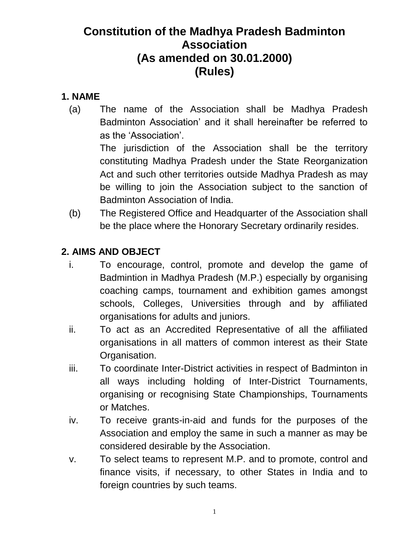# **Constitution of the Madhya Pradesh Badminton Association (As amended on 30.01.2000) (Rules)**

### **1. NAME**

(a) The name of the Association shall be Madhya Pradesh Badminton Association' and it shall hereinafter be referred to as the 'Association'. The jurisdiction of the Association shall be the territory constituting Madhya Pradesh under the State Reorganization

Act and such other territories outside Madhya Pradesh as may be willing to join the Association subject to the sanction of Badminton Association of India.

(b) The Registered Office and Headquarter of the Association shall be the place where the Honorary Secretary ordinarily resides.

## **2. AIMS AND OBJECT**

- i. To encourage, control, promote and develop the game of Badmintion in Madhya Pradesh (M.P.) especially by organising coaching camps, tournament and exhibition games amongst schools, Colleges, Universities through and by affiliated organisations for adults and juniors.
- ii. To act as an Accredited Representative of all the affiliated organisations in all matters of common interest as their State Organisation.
- iii. To coordinate Inter-District activities in respect of Badminton in all ways including holding of Inter-District Tournaments, organising or recognising State Championships, Tournaments or Matches.
- iv. To receive grants-in-aid and funds for the purposes of the Association and employ the same in such a manner as may be considered desirable by the Association.
- v. To select teams to represent M.P. and to promote, control and finance visits, if necessary, to other States in India and to foreign countries by such teams.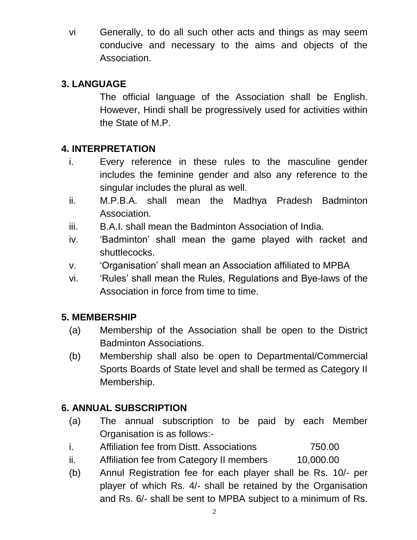vi Generally, to do all such other acts and things as may seem conducive and necessary to the aims and objects of the Association.

## **3. LANGUAGE**

The official language of the Association shall be English. However, Hindi shall be progressively used for activities within the State of M.P.

## **4. INTERPRETATION**

- i. Every reference in these rules to the masculine gender includes the feminine gender and also any reference to the singular includes the plural as well.
- ii. M.P.B.A. shall mean the Madhya Pradesh Badminton Association.
- iii. B.A.I. shall mean the Badminton Association of India.
- iv. 'Badminton' shall mean the game played with racket and shuttlecocks.
- v. 'Organisation' shall mean an Association affiliated to MPBA
- vi. 'Rules' shall mean the Rules, Regulations and Bye-laws of the Association in force from time to time.

## **5. MEMBERSHIP**

- (a) Membership of the Association shall be open to the District Badminton Associations.
- (b) Membership shall also be open to Departmental/Commercial Sports Boards of State level and shall be termed as Category II Membership.

## **6. ANNUAL SUBSCRIPTION**

- (a) The annual subscription to be paid by each Member Organisation is as follows:-
- i. Affiliation fee from Distt. Associations 750.00
- ii. Affiliation fee from Category II members 10,000.00
- (b) Annul Registration fee for each player shall be Rs. 10/- per player of which Rs. 4/- shall be retained by the Organisation and Rs. 6/- shall be sent to MPBA subject to a minimum of Rs.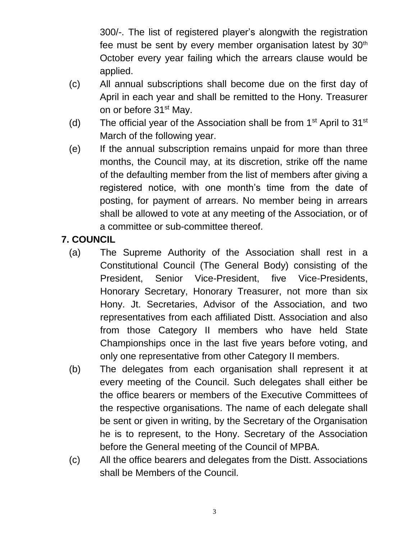300/-. The list of registered player's alongwith the registration fee must be sent by every member organisation latest by  $30<sup>th</sup>$ October every year failing which the arrears clause would be applied.

- (c) All annual subscriptions shall become due on the first day of April in each year and shall be remitted to the Hony. Treasurer on or before 31<sup>st</sup> May.
- (d) The official year of the Association shall be from  $1<sup>st</sup>$  April to  $31<sup>st</sup>$ March of the following year.
- (e) If the annual subscription remains unpaid for more than three months, the Council may, at its discretion, strike off the name of the defaulting member from the list of members after giving a registered notice, with one month's time from the date of posting, for payment of arrears. No member being in arrears shall be allowed to vote at any meeting of the Association, or of a committee or sub-committee thereof.

## **7. COUNCIL**

- (a) The Supreme Authority of the Association shall rest in a Constitutional Council (The General Body) consisting of the President, Senior Vice-President, five Vice-Presidents, Honorary Secretary, Honorary Treasurer, not more than six Hony. Jt. Secretaries, Advisor of the Association, and two representatives from each affiliated Distt. Association and also from those Category II members who have held State Championships once in the last five years before voting, and only one representative from other Category II members.
- (b) The delegates from each organisation shall represent it at every meeting of the Council. Such delegates shall either be the office bearers or members of the Executive Committees of the respective organisations. The name of each delegate shall be sent or given in writing, by the Secretary of the Organisation he is to represent, to the Hony. Secretary of the Association before the General meeting of the Council of MPBA.
- (c) All the office bearers and delegates from the Distt. Associations shall be Members of the Council.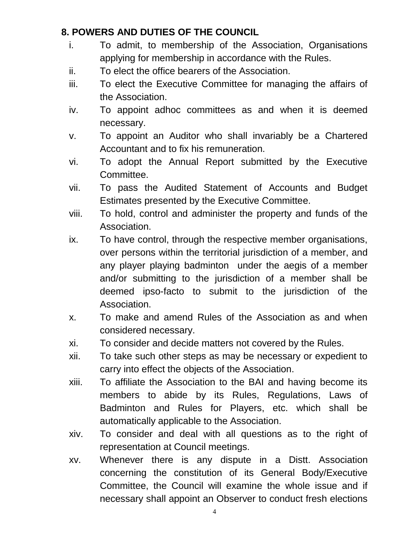### **8. POWERS AND DUTIES OF THE COUNCIL**

- i. To admit, to membership of the Association, Organisations applying for membership in accordance with the Rules.
- ii. To elect the office bearers of the Association.
- iii. To elect the Executive Committee for managing the affairs of the Association.
- iv. To appoint adhoc committees as and when it is deemed necessary.
- v. To appoint an Auditor who shall invariably be a Chartered Accountant and to fix his remuneration.
- vi. To adopt the Annual Report submitted by the Executive Committee.
- vii. To pass the Audited Statement of Accounts and Budget Estimates presented by the Executive Committee.
- viii. To hold, control and administer the property and funds of the Association.
- ix. To have control, through the respective member organisations, over persons within the territorial jurisdiction of a member, and any player playing badminton under the aegis of a member and/or submitting to the jurisdiction of a member shall be deemed ipso-facto to submit to the jurisdiction of the Association.
- x. To make and amend Rules of the Association as and when considered necessary.
- xi. To consider and decide matters not covered by the Rules.
- xii. To take such other steps as may be necessary or expedient to carry into effect the objects of the Association.
- xiii. To affiliate the Association to the BAI and having become its members to abide by its Rules, Regulations, Laws of Badminton and Rules for Players, etc. which shall be automatically applicable to the Association.
- xiv. To consider and deal with all questions as to the right of representation at Council meetings.
- xv. Whenever there is any dispute in a Distt. Association concerning the constitution of its General Body/Executive Committee, the Council will examine the whole issue and if necessary shall appoint an Observer to conduct fresh elections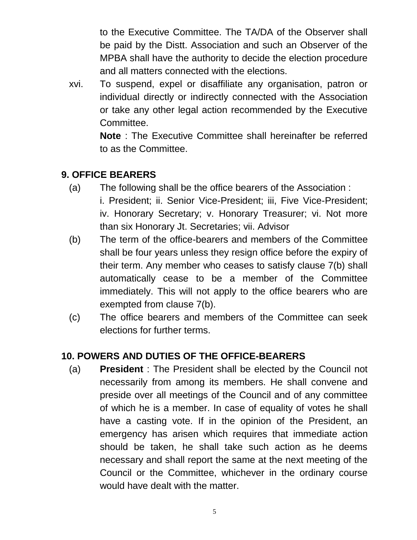to the Executive Committee. The TA/DA of the Observer shall be paid by the Distt. Association and such an Observer of the MPBA shall have the authority to decide the election procedure and all matters connected with the elections.

xvi. To suspend, expel or disaffiliate any organisation, patron or individual directly or indirectly connected with the Association or take any other legal action recommended by the Executive Committee.

> **Note** : The Executive Committee shall hereinafter be referred to as the Committee.

### **9. OFFICE BEARERS**

- (a) The following shall be the office bearers of the Association :
	- i. President; ii. Senior Vice-President; iii, Five Vice-President; iv. Honorary Secretary; v. Honorary Treasurer; vi. Not more than six Honorary Jt. Secretaries; vii. Advisor
- (b) The term of the office-bearers and members of the Committee shall be four years unless they resign office before the expiry of their term. Any member who ceases to satisfy clause 7(b) shall automatically cease to be a member of the Committee immediately. This will not apply to the office bearers who are exempted from clause 7(b).
- (c) The office bearers and members of the Committee can seek elections for further terms.

## **10. POWERS AND DUTIES OF THE OFFICE-BEARERS**

(a) **President** : The President shall be elected by the Council not necessarily from among its members. He shall convene and preside over all meetings of the Council and of any committee of which he is a member. In case of equality of votes he shall have a casting vote. If in the opinion of the President, an emergency has arisen which requires that immediate action should be taken, he shall take such action as he deems necessary and shall report the same at the next meeting of the Council or the Committee, whichever in the ordinary course would have dealt with the matter.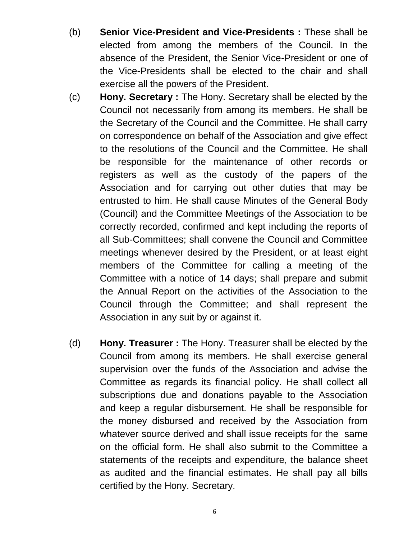- (b) **Senior Vice-President and Vice-Presidents :** These shall be elected from among the members of the Council. In the absence of the President, the Senior Vice-President or one of the Vice-Presidents shall be elected to the chair and shall exercise all the powers of the President.
- (c) **Hony. Secretary :** The Hony. Secretary shall be elected by the Council not necessarily from among its members. He shall be the Secretary of the Council and the Committee. He shall carry on correspondence on behalf of the Association and give effect to the resolutions of the Council and the Committee. He shall be responsible for the maintenance of other records or registers as well as the custody of the papers of the Association and for carrying out other duties that may be entrusted to him. He shall cause Minutes of the General Body (Council) and the Committee Meetings of the Association to be correctly recorded, confirmed and kept including the reports of all Sub-Committees; shall convene the Council and Committee meetings whenever desired by the President, or at least eight members of the Committee for calling a meeting of the Committee with a notice of 14 days; shall prepare and submit the Annual Report on the activities of the Association to the Council through the Committee; and shall represent the Association in any suit by or against it.
- (d) **Hony. Treasurer :** The Hony. Treasurer shall be elected by the Council from among its members. He shall exercise general supervision over the funds of the Association and advise the Committee as regards its financial policy. He shall collect all subscriptions due and donations payable to the Association and keep a regular disbursement. He shall be responsible for the money disbursed and received by the Association from whatever source derived and shall issue receipts for the same on the official form. He shall also submit to the Committee a statements of the receipts and expenditure, the balance sheet as audited and the financial estimates. He shall pay all bills certified by the Hony. Secretary.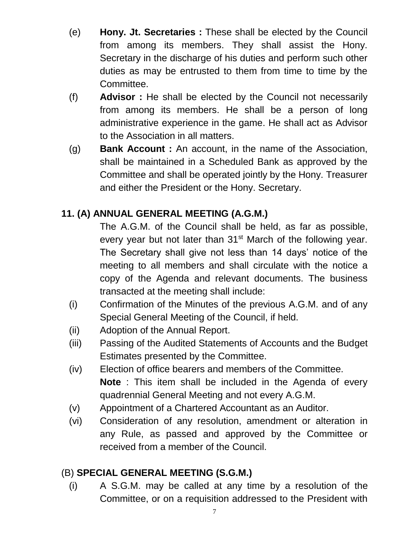- (e) **Hony. Jt. Secretaries :** These shall be elected by the Council from among its members. They shall assist the Hony. Secretary in the discharge of his duties and perform such other duties as may be entrusted to them from time to time by the Committee.
- (f) **Advisor :** He shall be elected by the Council not necessarily from among its members. He shall be a person of long administrative experience in the game. He shall act as Advisor to the Association in all matters.
- (g) **Bank Account :** An account, in the name of the Association, shall be maintained in a Scheduled Bank as approved by the Committee and shall be operated jointly by the Hony. Treasurer and either the President or the Hony. Secretary.

## **11. (A) ANNUAL GENERAL MEETING (A.G.M.)**

The A.G.M. of the Council shall be held, as far as possible, every year but not later than 31<sup>st</sup> March of the following year. The Secretary shall give not less than 14 days' notice of the meeting to all members and shall circulate with the notice a copy of the Agenda and relevant documents. The business transacted at the meeting shall include:

- (i) Confirmation of the Minutes of the previous A.G.M. and of any Special General Meeting of the Council, if held.
- (ii) Adoption of the Annual Report.
- (iii) Passing of the Audited Statements of Accounts and the Budget Estimates presented by the Committee.
- (iv) Election of office bearers and members of the Committee. **Note** : This item shall be included in the Agenda of every quadrennial General Meeting and not every A.G.M.
- (v) Appointment of a Chartered Accountant as an Auditor.
- (vi) Consideration of any resolution, amendment or alteration in any Rule, as passed and approved by the Committee or received from a member of the Council.

### (B) **SPECIAL GENERAL MEETING (S.G.M.)**

(i) A S.G.M. may be called at any time by a resolution of the Committee, or on a requisition addressed to the President with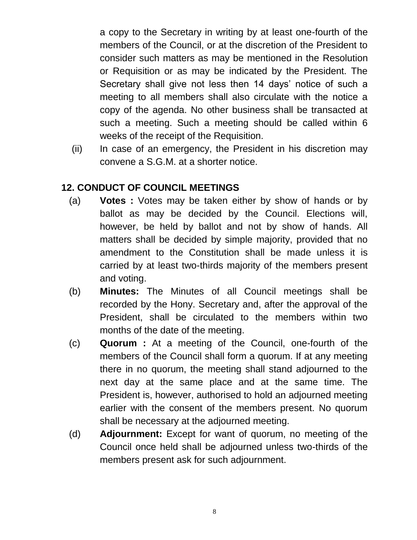a copy to the Secretary in writing by at least one-fourth of the members of the Council, or at the discretion of the President to consider such matters as may be mentioned in the Resolution or Requisition or as may be indicated by the President. The Secretary shall give not less then 14 days' notice of such a meeting to all members shall also circulate with the notice a copy of the agenda. No other business shall be transacted at such a meeting. Such a meeting should be called within 6 weeks of the receipt of the Requisition.

(ii) In case of an emergency, the President in his discretion may convene a S.G.M. at a shorter notice.

### **12. CONDUCT OF COUNCIL MEETINGS**

- (a) **Votes :** Votes may be taken either by show of hands or by ballot as may be decided by the Council. Elections will, however, be held by ballot and not by show of hands. All matters shall be decided by simple majority, provided that no amendment to the Constitution shall be made unless it is carried by at least two-thirds majority of the members present and voting.
- (b) **Minutes:** The Minutes of all Council meetings shall be recorded by the Hony. Secretary and, after the approval of the President, shall be circulated to the members within two months of the date of the meeting.
- (c) **Quorum :** At a meeting of the Council, one-fourth of the members of the Council shall form a quorum. If at any meeting there in no quorum, the meeting shall stand adjourned to the next day at the same place and at the same time. The President is, however, authorised to hold an adjourned meeting earlier with the consent of the members present. No quorum shall be necessary at the adjourned meeting.
- (d) **Adjournment:** Except for want of quorum, no meeting of the Council once held shall be adjourned unless two-thirds of the members present ask for such adjournment.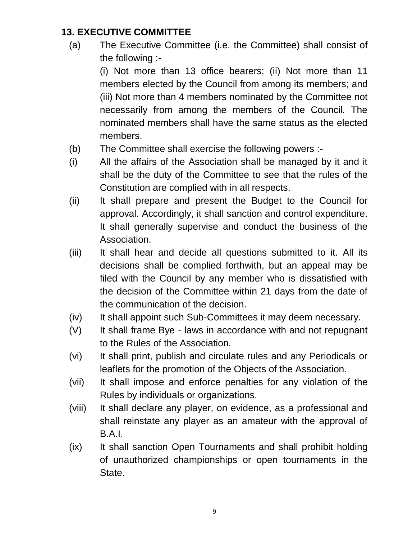### **13. EXECUTIVE COMMITTEE**

(a) The Executive Committee (i.e. the Committee) shall consist of the following :-

(i) Not more than 13 office bearers; (ii) Not more than 11 members elected by the Council from among its members; and (iii) Not more than 4 members nominated by the Committee not necessarily from among the members of the Council. The nominated members shall have the same status as the elected members.

- (b) The Committee shall exercise the following powers :-
- (i) All the affairs of the Association shall be managed by it and it shall be the duty of the Committee to see that the rules of the Constitution are complied with in all respects.
- (ii) It shall prepare and present the Budget to the Council for approval. Accordingly, it shall sanction and control expenditure. It shall generally supervise and conduct the business of the Association.
- (iii) It shall hear and decide all questions submitted to it. All its decisions shall be complied forthwith, but an appeal may be filed with the Council by any member who is dissatisfied with the decision of the Committee within 21 days from the date of the communication of the decision.
- (iv) It shall appoint such Sub-Committees it may deem necessary.
- (V) It shall frame Bye laws in accordance with and not repugnant to the Rules of the Association.
- (vi) It shall print, publish and circulate rules and any Periodicals or leaflets for the promotion of the Objects of the Association.
- (vii) It shall impose and enforce penalties for any violation of the Rules by individuals or organizations.
- (viii) It shall declare any player, on evidence, as a professional and shall reinstate any player as an amateur with the approval of B.A.I.
- (ix) It shall sanction Open Tournaments and shall prohibit holding of unauthorized championships or open tournaments in the State.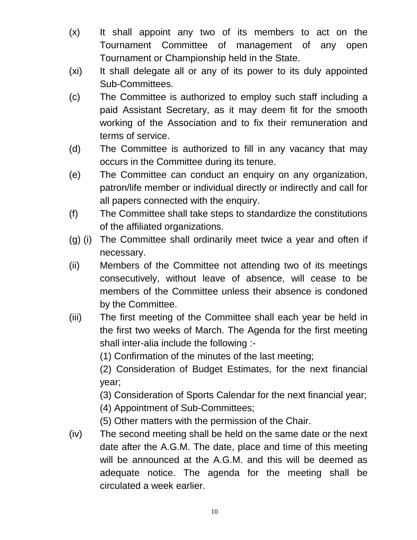- (x) It shall appoint any two of its members to act on the Tournament Committee of management of any open Tournament or Championship held in the State.
- (xi) It shall delegate all or any of its power to its duly appointed Sub-Committees.
- (c) The Committee is authorized to employ such staff including a paid Assistant Secretary, as it may deem fit for the smooth working of the Association and to fix their remuneration and terms of service.
- (d) The Committee is authorized to fill in any vacancy that may occurs in the Committee during its tenure.
- (e) The Committee can conduct an enquiry on any organization, patron/life member or individual directly or indirectly and call for all papers connected with the enquiry.
- (f) The Committee shall take steps to standardize the constitutions of the affiliated organizations.
- (g) (i) The Committee shall ordinarily meet twice a year and often if necessary.
- (ii) Members of the Committee not attending two of its meetings consecutively, without leave of absence, will cease to be members of the Committee unless their absence is condoned by the Committee.
- (iii) The first meeting of the Committee shall each year be held in the first two weeks of March. The Agenda for the first meeting shall inter-alia include the following :-

(1) Confirmation of the minutes of the last meeting;

(2) Consideration of Budget Estimates, for the next financial year;

(3) Consideration of Sports Calendar for the next financial year;

(4) Appointment of Sub-Committees;

(5) Other matters with the permission of the Chair.

(iv) The second meeting shall be held on the same date or the next date after the A.G.M. The date, place and time of this meeting will be announced at the A.G.M. and this will be deemed as adequate notice. The agenda for the meeting shall be circulated a week earlier.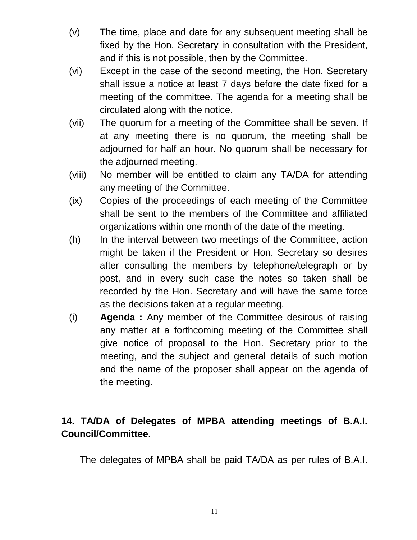- (v) The time, place and date for any subsequent meeting shall be fixed by the Hon. Secretary in consultation with the President, and if this is not possible, then by the Committee.
- (vi) Except in the case of the second meeting, the Hon. Secretary shall issue a notice at least 7 days before the date fixed for a meeting of the committee. The agenda for a meeting shall be circulated along with the notice.
- (vii) The quorum for a meeting of the Committee shall be seven. If at any meeting there is no quorum, the meeting shall be adjourned for half an hour. No quorum shall be necessary for the adjourned meeting.
- (viii) No member will be entitled to claim any TA/DA for attending any meeting of the Committee.
- (ix) Copies of the proceedings of each meeting of the Committee shall be sent to the members of the Committee and affiliated organizations within one month of the date of the meeting.
- (h) In the interval between two meetings of the Committee, action might be taken if the President or Hon. Secretary so desires after consulting the members by telephone/telegraph or by post, and in every such case the notes so taken shall be recorded by the Hon. Secretary and will have the same force as the decisions taken at a regular meeting.
- (i) **Agenda :** Any member of the Committee desirous of raising any matter at a forthcoming meeting of the Committee shall give notice of proposal to the Hon. Secretary prior to the meeting, and the subject and general details of such motion and the name of the proposer shall appear on the agenda of the meeting.

## **14. TA/DA of Delegates of MPBA attending meetings of B.A.I. Council/Committee.**

The delegates of MPBA shall be paid TA/DA as per rules of B.A.I.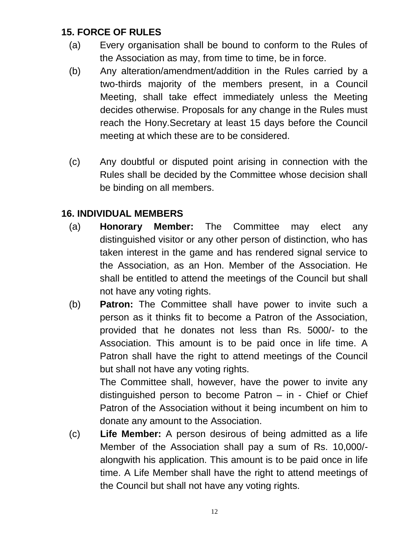### **15. FORCE OF RULES**

- (a) Every organisation shall be bound to conform to the Rules of the Association as may, from time to time, be in force.
- (b) Any alteration/amendment/addition in the Rules carried by a two-thirds majority of the members present, in a Council Meeting, shall take effect immediately unless the Meeting decides otherwise. Proposals for any change in the Rules must reach the Hony.Secretary at least 15 days before the Council meeting at which these are to be considered.
- (c) Any doubtful or disputed point arising in connection with the Rules shall be decided by the Committee whose decision shall be binding on all members.

## **16. INDIVIDUAL MEMBERS**

- (a) **Honorary Member:** The Committee may elect any distinguished visitor or any other person of distinction, who has taken interest in the game and has rendered signal service to the Association, as an Hon. Member of the Association. He shall be entitled to attend the meetings of the Council but shall not have any voting rights.
- (b) **Patron:** The Committee shall have power to invite such a person as it thinks fit to become a Patron of the Association, provided that he donates not less than Rs. 5000/- to the Association. This amount is to be paid once in life time. A Patron shall have the right to attend meetings of the Council but shall not have any voting rights.

The Committee shall, however, have the power to invite any distinguished person to become Patron – in - Chief or Chief Patron of the Association without it being incumbent on him to donate any amount to the Association.

(c) **Life Member:** A person desirous of being admitted as a life Member of the Association shall pay a sum of Rs. 10,000/ alongwith his application. This amount is to be paid once in life time. A Life Member shall have the right to attend meetings of the Council but shall not have any voting rights.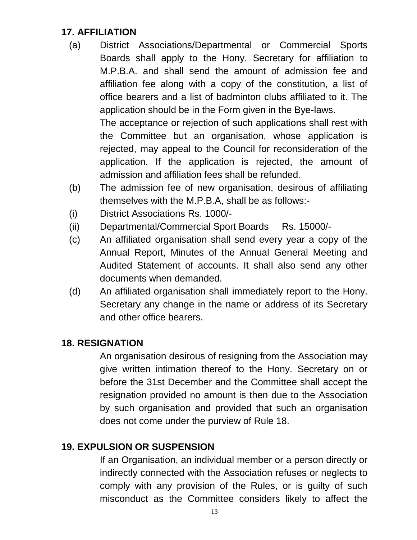### **17. AFFILIATION**

(a) District Associations/Departmental or Commercial Sports Boards shall apply to the Hony. Secretary for affiliation to M.P.B.A. and shall send the amount of admission fee and affiliation fee along with a copy of the constitution, a list of office bearers and a list of badminton clubs affiliated to it. The application should be in the Form given in the Bye-laws.

The acceptance or rejection of such applications shall rest with the Committee but an organisation, whose application is rejected, may appeal to the Council for reconsideration of the application. If the application is rejected, the amount of admission and affiliation fees shall be refunded.

- (b) The admission fee of new organisation, desirous of affiliating themselves with the M.P.B.A, shall be as follows:-
- (i) District Associations Rs. 1000/-
- (ii) Departmental/Commercial Sport Boards Rs. 15000/-
- (c) An affiliated organisation shall send every year a copy of the Annual Report, Minutes of the Annual General Meeting and Audited Statement of accounts. It shall also send any other documents when demanded.
- (d) An affiliated organisation shall immediately report to the Hony. Secretary any change in the name or address of its Secretary and other office bearers.

#### **18. RESIGNATION**

An organisation desirous of resigning from the Association may give written intimation thereof to the Hony. Secretary on or before the 31st December and the Committee shall accept the resignation provided no amount is then due to the Association by such organisation and provided that such an organisation does not come under the purview of Rule 18.

### **19. EXPULSION OR SUSPENSION**

If an Organisation, an individual member or a person directly or indirectly connected with the Association refuses or neglects to comply with any provision of the Rules, or is guilty of such misconduct as the Committee considers likely to affect the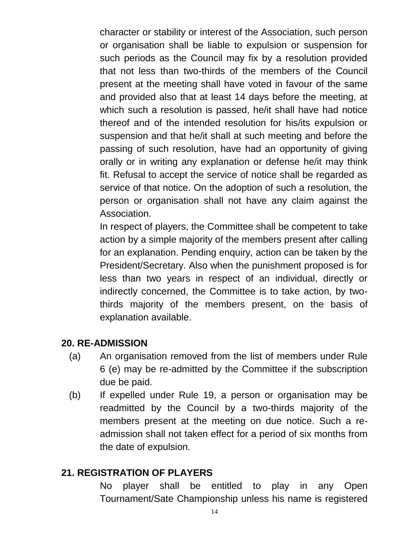character or stability or interest of the Association, such person or organisation shall be liable to expulsion or suspension for such periods as the Council may fix by a resolution provided that not less than two-thirds of the members of the Council present at the meeting shall have voted in favour of the same and provided also that at least 14 days before the meeting, at which such a resolution is passed, he/it shall have had notice thereof and of the intended resolution for his/its expulsion or suspension and that he/it shall at such meeting and before the passing of such resolution, have had an opportunity of giving orally or in writing any explanation or defense he/it may think fit. Refusal to accept the service of notice shall be regarded as service of that notice. On the adoption of such a resolution, the person or organisation shall not have any claim against the Association.

In respect of players, the Committee shall be competent to take action by a simple majority of the members present after calling for an explanation. Pending enquiry, action can be taken by the President/Secretary. Also when the punishment proposed is for less than two years in respect of an individual, directly or indirectly concerned, the Committee is to take action, by twothirds majority of the members present, on the basis of explanation available.

#### **20. RE-ADMISSION**

- (a) An organisation removed from the list of members under Rule 6 (e) may be re-admitted by the Committee if the subscription due be paid.
- (b) If expelled under Rule 19, a person or organisation may be readmitted by the Council by a two-thirds majority of the members present at the meeting on due notice. Such a readmission shall not taken effect for a period of six months from the date of expulsion.

#### **21. REGISTRATION OF PLAYERS**

No player shall be entitled to play in any Open Tournament/Sate Championship unless his name is registered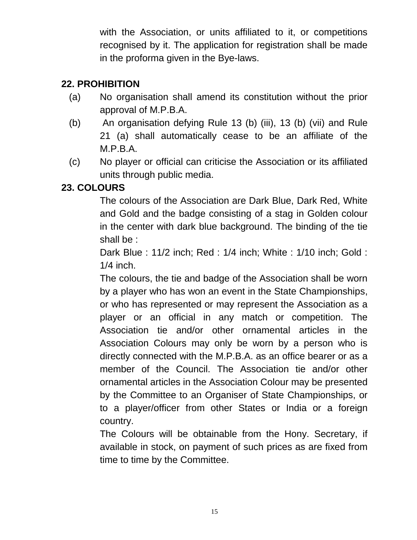with the Association, or units affiliated to it, or competitions recognised by it. The application for registration shall be made in the proforma given in the Bye-laws.

### **22. PROHIBITION**

- (a) No organisation shall amend its constitution without the prior approval of M.P.B.A.
- (b) An organisation defying Rule 13 (b) (iii), 13 (b) (vii) and Rule 21 (a) shall automatically cease to be an affiliate of the M.P.B.A.
- (c) No player or official can criticise the Association or its affiliated units through public media.

### **23. COLOURS**

The colours of the Association are Dark Blue, Dark Red, White and Gold and the badge consisting of a stag in Golden colour in the center with dark blue background. The binding of the tie shall be :

Dark Blue : 11/2 inch; Red : 1/4 inch; White : 1/10 inch; Gold : 1/4 inch.

The colours, the tie and badge of the Association shall be worn by a player who has won an event in the State Championships, or who has represented or may represent the Association as a player or an official in any match or competition. The Association tie and/or other ornamental articles in the Association Colours may only be worn by a person who is directly connected with the M.P.B.A. as an office bearer or as a member of the Council. The Association tie and/or other ornamental articles in the Association Colour may be presented by the Committee to an Organiser of State Championships, or to a player/officer from other States or India or a foreign country.

The Colours will be obtainable from the Hony. Secretary, if available in stock, on payment of such prices as are fixed from time to time by the Committee.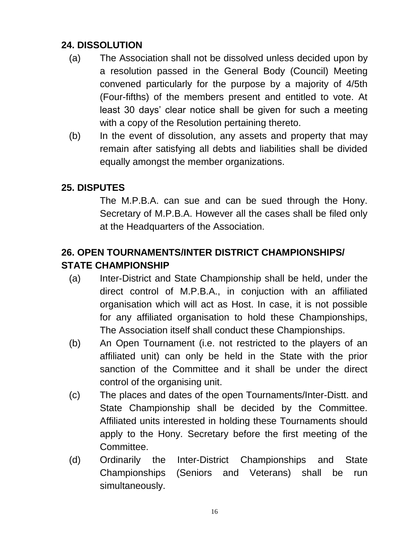### **24. DISSOLUTION**

- (a) The Association shall not be dissolved unless decided upon by a resolution passed in the General Body (Council) Meeting convened particularly for the purpose by a majority of 4/5th (Four-fifths) of the members present and entitled to vote. At least 30 days' clear notice shall be given for such a meeting with a copy of the Resolution pertaining thereto.
- (b) In the event of dissolution, any assets and property that may remain after satisfying all debts and liabilities shall be divided equally amongst the member organizations.

### **25. DISPUTES**

The M.P.B.A. can sue and can be sued through the Hony. Secretary of M.P.B.A. However all the cases shall be filed only at the Headquarters of the Association.

## **26. OPEN TOURNAMENTS/INTER DISTRICT CHAMPIONSHIPS/ STATE CHAMPIONSHIP**

- (a) Inter-District and State Championship shall be held, under the direct control of M.P.B.A., in conjuction with an affiliated organisation which will act as Host. In case, it is not possible for any affiliated organisation to hold these Championships, The Association itself shall conduct these Championships.
- (b) An Open Tournament (i.e. not restricted to the players of an affiliated unit) can only be held in the State with the prior sanction of the Committee and it shall be under the direct control of the organising unit.
- (c) The places and dates of the open Tournaments/Inter-Distt. and State Championship shall be decided by the Committee. Affiliated units interested in holding these Tournaments should apply to the Hony. Secretary before the first meeting of the Committee.
- (d) Ordinarily the Inter-District Championships and State Championships (Seniors and Veterans) shall be run simultaneously.